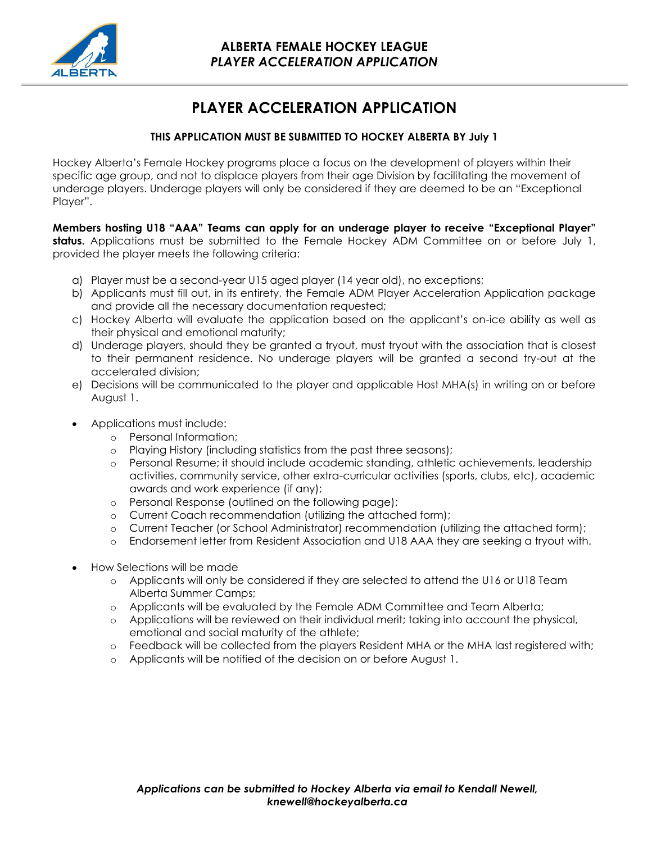

# **PLAYER ACCELERATION APPLICATION**

## **THIS APPLICATION MUST BE SUBMITTED TO HOCKEY ALBERTA BY July 1**

Hockey Alberta's Female Hockey programs place a focus on the development of players within their specific age group, and not to displace players from their age Division by facilitating the movement of underage players. Underage players will only be considered if they are deemed to be an "Exceptional Player".

**Members hosting U18 "AAA" Teams can apply for an underage player to receive "Exceptional Player" status.** Applications must be submitted to the Female Hockey ADM Committee on or before July 1, provided the player meets the following criteria:

- a) Player must be a second-year U15 aged player (14 year old), no exceptions;
- b) Applicants must fill out, in its entirety, the Female ADM Player Acceleration Application package and provide all the necessary documentation requested;
- c) Hockey Alberta will evaluate the application based on the applicant's on-ice ability as well as their physical and emotional maturity;
- d) Underage players, should they be granted a tryout, must tryout with the association that is closest to their permanent residence. No underage players will be granted a second try-out at the accelerated division;
- e) Decisions will be communicated to the player and applicable Host MHA(s) in writing on or before August 1.
- Applications must include:
	- o Personal Information;
	- o Playing History (including statistics from the past three seasons);
	- o Personal Resume; it should include academic standing, athletic achievements, leadership activities, community service, other extra-curricular activities (sports, clubs, etc), academic awards and work experience (if any);
	- o Personal Response (outlined on the following page);
	- o Current Coach recommendation (utilizing the attached form);
	- o Current Teacher (or School Administrator) recommendation (utilizing the attached form);
	- o Endorsement letter from Resident Association and U18 AAA they are seeking a tryout with.
- How Selections will be made
	- o Applicants will only be considered if they are selected to attend the U16 or U18 Team Alberta Summer Camps;
	- o Applicants will be evaluated by the Female ADM Committee and Team Alberta;
	- o Applications will be reviewed on their individual merit; taking into account the physical, emotional and social maturity of the athlete;
	- o Feedback will be collected from the players Resident MHA or the MHA last registered with;
	- o Applicants will be notified of the decision on or before August 1.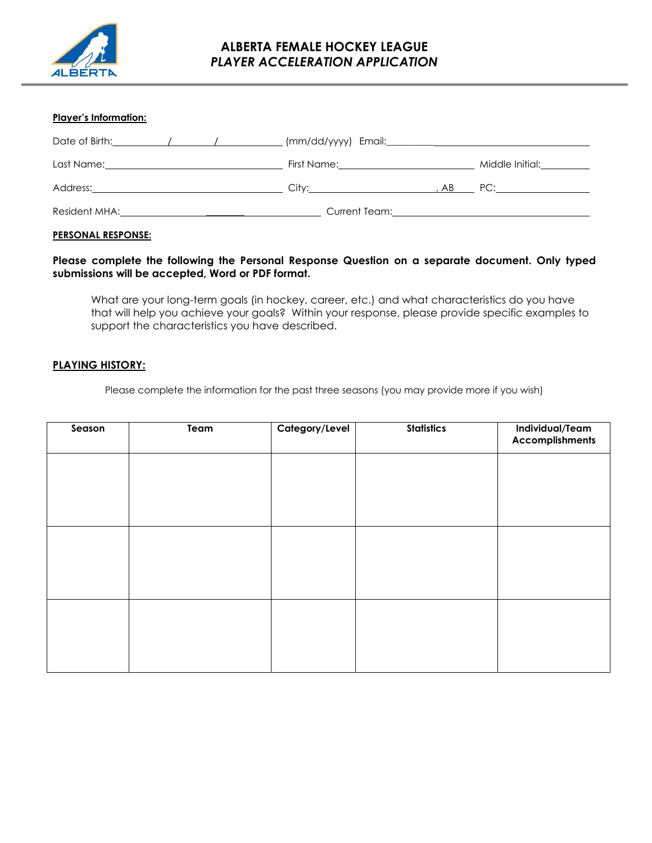

## **ALBERTA FEMALE HOCKEY LEAGUE** *PLAYER ACCELERATION APPLICATION*

#### **Player's Information:**

| Date of Birth: The Contract of Birth: The Contract of Birth:                                                                                                                                                                   |                                                                                                                                                                                                                                      |                                                                                                                                                                                                                                |
|--------------------------------------------------------------------------------------------------------------------------------------------------------------------------------------------------------------------------------|--------------------------------------------------------------------------------------------------------------------------------------------------------------------------------------------------------------------------------------|--------------------------------------------------------------------------------------------------------------------------------------------------------------------------------------------------------------------------------|
| Last Name: the contract of the contract of the contract of the contract of the contract of the contract of the contract of the contract of the contract of the contract of the contract of the contract of the contract of the |                                                                                                                                                                                                                                      | Middle Initial: <u>Community Middle</u>                                                                                                                                                                                        |
|                                                                                                                                                                                                                                | City: the contract of the contract of the contract of the contract of the contract of the contract of the contract of the contract of the contract of the contract of the contract of the contract of the contract of the cont<br>AB | PC: the contract of the contract of the contract of the contract of the contract of the contract of the contract of the contract of the contract of the contract of the contract of the contract of the contract of the contra |
| Resident MHA: The contract of the contract of the contract of the contract of the contract of the contract of the contract of the contract of the contract of the contract of the contract of the contract of the contract of  | Current Team: the contract of the contract of the contract of the contract of the contract of the contract of the contract of the contract of the contract of the contract of the contract of the contract of the contract of        |                                                                                                                                                                                                                                |

#### **PERSONAL RESPONSE:**

## **Please complete the following the Personal Response Question on a separate document. Only typed submissions will be accepted, Word or PDF format.**

What are your long-term goals (in hockey, career, etc.) and what characteristics do you have that will help you achieve your goals? Within your response, please provide specific examples to support the characteristics you have described.

### **PLAYING HISTORY:**

Please complete the information for the past three seasons (you may provide more if you wish)

| Season | Team | Category/Level | <b>Statistics</b> | Individual/Team<br><b>Accomplishments</b> |
|--------|------|----------------|-------------------|-------------------------------------------|
|        |      |                |                   |                                           |
|        |      |                |                   |                                           |
|        |      |                |                   |                                           |
|        |      |                |                   |                                           |
|        |      |                |                   |                                           |
|        |      |                |                   |                                           |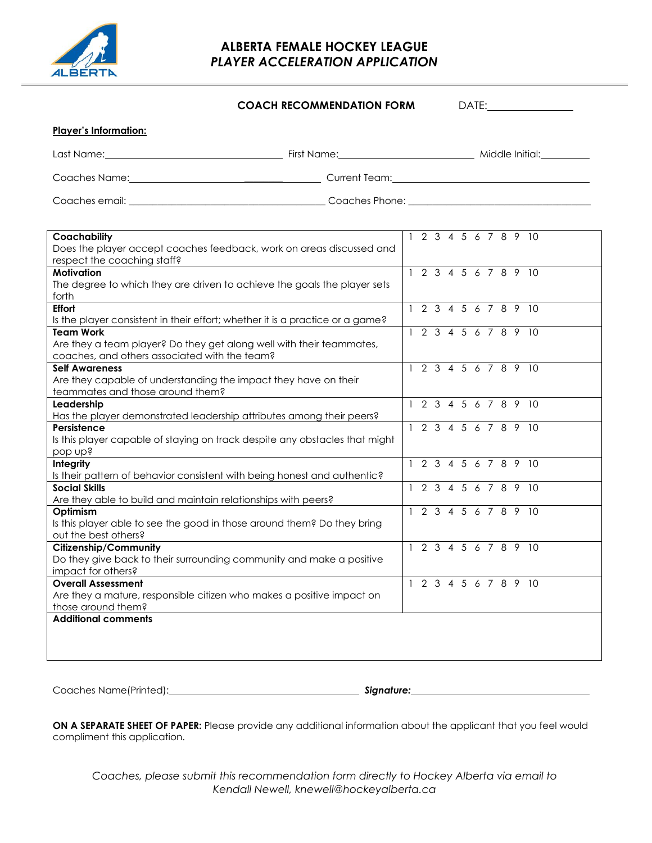

**Player's Information:**

# **ALBERTA FEMALE HOCKEY LEAGUE** *PLAYER ACCELERATION APPLICATION*

**COACH RECOMMENDATION FORM** DATE:

| Last Name:     | First Name:    | Middle Initial: |
|----------------|----------------|-----------------|
| Coaches Name:  | Current Team:  |                 |
| Coaches email: | Coaches Phone: |                 |

| Coachability                                                                  |  |  |  |  | 2 3 4 5 6 7 8 9 10   |
|-------------------------------------------------------------------------------|--|--|--|--|----------------------|
| Does the player accept coaches feedback, work on areas discussed and          |  |  |  |  |                      |
| respect the coaching staff?                                                   |  |  |  |  |                      |
| <b>Motivation</b>                                                             |  |  |  |  | 1 2 3 4 5 6 7 8 9 10 |
| The degree to which they are driven to achieve the goals the player sets      |  |  |  |  |                      |
| forth                                                                         |  |  |  |  |                      |
| <b>Effort</b>                                                                 |  |  |  |  | 1 2 3 4 5 6 7 8 9 10 |
| Is the player consistent in their effort; whether it is a practice or a game? |  |  |  |  |                      |
| <b>Team Work</b>                                                              |  |  |  |  | 1 2 3 4 5 6 7 8 9 10 |
| Are they a team player? Do they get along well with their teammates,          |  |  |  |  |                      |
| coaches, and others associated with the team?                                 |  |  |  |  |                      |
| <b>Self Awareness</b>                                                         |  |  |  |  | 1 2 3 4 5 6 7 8 9 10 |
| Are they capable of understanding the impact they have on their               |  |  |  |  |                      |
| teammates and those around them?                                              |  |  |  |  |                      |
| Leadership                                                                    |  |  |  |  | 1 2 3 4 5 6 7 8 9 10 |
| Has the player demonstrated leadership attributes among their peers?          |  |  |  |  |                      |
| Persistence                                                                   |  |  |  |  | 1 2 3 4 5 6 7 8 9 10 |
| Is this player capable of staying on track despite any obstacles that might   |  |  |  |  |                      |
| bob nbs                                                                       |  |  |  |  |                      |
| Integrity                                                                     |  |  |  |  | 1 2 3 4 5 6 7 8 9 10 |
| Is their pattern of behavior consistent with being honest and authentic?      |  |  |  |  |                      |
| <b>Social Skills</b>                                                          |  |  |  |  | 1 2 3 4 5 6 7 8 9 10 |
| Are they able to build and maintain relationships with peers?                 |  |  |  |  |                      |
| Optimism                                                                      |  |  |  |  | 1 2 3 4 5 6 7 8 9 10 |
| Is this player able to see the good in those around them? Do they bring       |  |  |  |  |                      |
| out the best others?                                                          |  |  |  |  |                      |
| Citizenship/Community                                                         |  |  |  |  | 1 2 3 4 5 6 7 8 9 10 |
| Do they give back to their surrounding community and make a positive          |  |  |  |  |                      |
| impact for others?                                                            |  |  |  |  |                      |
| <b>Overall Assessment</b>                                                     |  |  |  |  | 1 2 3 4 5 6 7 8 9 10 |
| Are they a mature, responsible citizen who makes a positive impact on         |  |  |  |  |                      |
| those around them?                                                            |  |  |  |  |                      |
| <b>Additional comments</b>                                                    |  |  |  |  |                      |
|                                                                               |  |  |  |  |                      |
|                                                                               |  |  |  |  |                      |
|                                                                               |  |  |  |  |                      |

Coaches Name(Printed): *Signature:*

**ON A SEPARATE SHEET OF PAPER:** Please provide any additional information about the applicant that you feel would compliment this application.

*Coaches, please submit this recommendation form directly to Hockey Alberta via email to Kendall Newell, knewell@hockeyalberta.ca*